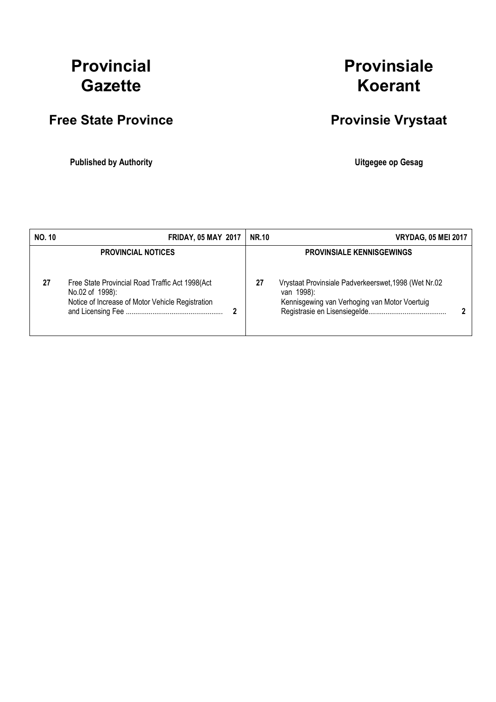# Provincial **Gazette**

## Free State Province **Provinsie Vrystaat**

Published by Authority **National Execution Control Control Control Control Control Control Control Control Control Control Control Control Control Control Control Control Control Control Control Control Control Control Con** 

## Provinsiale Koerant

| <b>NO. 10</b> | <b>FRIDAY, 05 MAY 2017</b>                                                                                             | <b>NR.10</b> | <b>VRYDAG, 05 MEI 2017</b>                                                                                          |  |
|---------------|------------------------------------------------------------------------------------------------------------------------|--------------|---------------------------------------------------------------------------------------------------------------------|--|
|               | <b>PROVINCIAL NOTICES</b>                                                                                              |              | <b>PROVINSIALE KENNISGEWINGS</b>                                                                                    |  |
| 27            | Free State Provincial Road Traffic Act 1998(Act<br>No.02 of 1998):<br>Notice of Increase of Motor Vehicle Registration | 27           | Vrystaat Provinsiale Padverkeerswet, 1998 (Wet Nr.02<br>van 1998):<br>Kennisgewing van Verhoging van Motor Voertuig |  |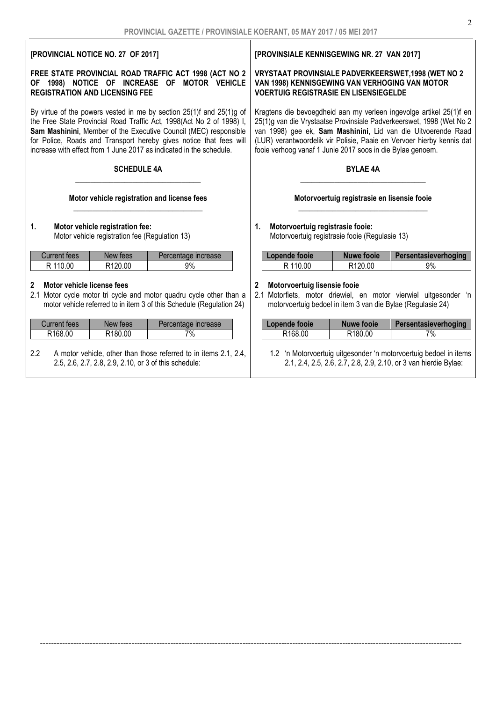#### [PROVINCIAL NOTICE NO. 27 OF 2017] FREE STATE PROVINCIAL ROAD TRAFFIC ACT 1998 (ACT NO 2 OF 1998) NOTICE OF INCREASE OF MOTOR VEHICLE REGISTRATION AND LICENSING FEE By virtue of the powers vested in me by section 25(1)f and 25(1)g of the Free State Provincial Road Traffic Act, 1998(Act No 2 of 1998) I, Sam Mashinini, Member of the Executive Council (MEC) responsible for Police, Roads and Transport hereby gives notice that fees will increase with effect from 1 June 2017 as indicated in the schedule. SCHEDULE 4A \_\_\_\_\_\_\_\_\_\_\_\_\_\_\_\_\_\_\_\_\_\_\_\_\_\_\_\_\_\_\_\_\_ Motor vehicle registration and license fees \_\_\_\_\_\_\_\_\_\_\_\_\_\_\_\_\_\_\_\_\_\_\_\_\_\_\_\_\_\_\_\_\_\_ 1. Motor vehicle registration fee: Motor vehicle registration fee (Regulation 13) Current fees | New fees | Percentage increase R 110.00 R 120.00 9% 2 Motor vehicle license fees 2.1 Motor cycle motor tri cycle and motor quadru cycle other than a motor vehicle referred to in item 3 of this Schedule (Regulation 24) Current fees | New fees | Percentage increase R168.00 R180.00 7% [PROVINSIALE KENNISGEWING NR. 27 VAN 2017] VRYSTAAT PROVINSIALE PADVERKEERSWET,1998 (WET NO 2 VAN 1998) KENNISGEWING VAN VERHOGING VAN MOTOR VOERTUIG REGISTRASIE EN LISENSIEGELDE Kragtens die bevoegdheid aan my verleen ingevolge artikel 25(1)f en 25(1)g van die Vrystaatse Provinsiale Padverkeerswet, 1998 (Wet No 2 van 1998) gee ek, Sam Mashinini, Lid van die Uitvoerende Raad (LUR) verantwoordelik vir Polisie, Paaie en Vervoer hierby kennis dat fooie verhoog vanaf 1 Junie 2017 soos in die Bylae genoem. BYLAE 4A \_\_\_\_\_\_\_\_\_\_\_\_\_\_\_\_\_\_\_\_\_\_\_\_\_\_\_\_\_\_\_\_\_ Motorvoertuig registrasie en lisensie fooie  $\frac{1}{2}$  ,  $\frac{1}{2}$  ,  $\frac{1}{2}$  ,  $\frac{1}{2}$  ,  $\frac{1}{2}$  ,  $\frac{1}{2}$  ,  $\frac{1}{2}$  ,  $\frac{1}{2}$  ,  $\frac{1}{2}$  ,  $\frac{1}{2}$  ,  $\frac{1}{2}$  ,  $\frac{1}{2}$  ,  $\frac{1}{2}$  ,  $\frac{1}{2}$  ,  $\frac{1}{2}$  ,  $\frac{1}{2}$  ,  $\frac{1}{2}$  ,  $\frac{1}{2}$  ,  $\frac{1$ 1. Motorvoertuig registrasie fooie: Motorvoertuig registrasie fooie (Regulasie 13) Lopende fooie | Nuwe fooie | Persentasieverhoging R 110.00 | R120.00 | 9% Motorvoertuig lisensie fooie 2.1 Motorfiets, motor driewiel, en motor vierwiel uitgesonder 'n motorvoertuig bedoel in item 3 van die Bylae (Regulasie 24) Lopende fooie | Nuwe fooie | Persentasieverhoging R168.00 R180.00 7%

--------------------------------------------------------------------------------------------------------------------------------------------------------

2.2 A motor vehicle, other than those referred to in items 2.1, 2.4, 2.5, 2.6, 2.7, 2.8, 2.9, 2.10, or 3 of this schedule:

#### 1.2 'n Motorvoertuig uitgesonder 'n motorvoertuig bedoel in items 2.1, 2.4, 2.5, 2.6, 2.7, 2.8, 2.9, 2.10, or 3 van hierdie Bylae: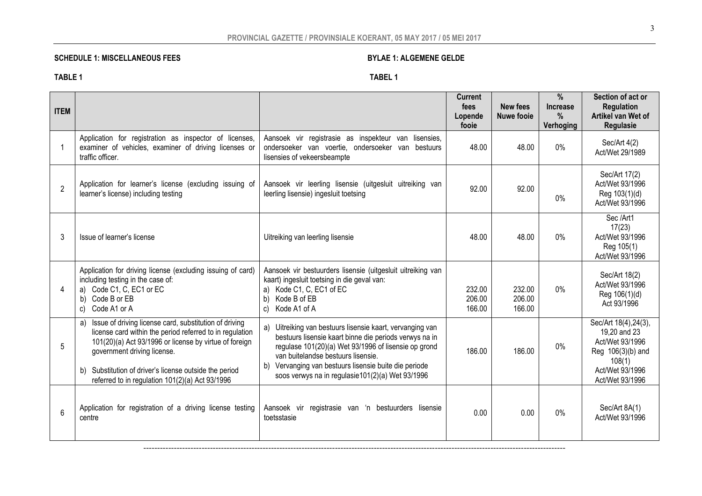## PROVINCIAL GAZETTE / PROVINSIALE KOERANT, 05 MAY 2017 / 05 MEI 2017

## SCHEDULE 1: MISCELLANEOUS FEES BYLAE 1: ALGEMENE GELDE

|--|--|

#### TABLE 1 TABEL 1

| <b>ITEM</b>    |                                                                                                                                                                                                                                                                                                                                |                                                                                                                                                                                                                                                                                                                                   | <b>Current</b><br>fees<br>Lopende<br>fooie | <b>New fees</b><br>Nuwe fooje | %<br><b>Increase</b><br>$\%$<br>Verhoging | Section of act or<br><b>Regulation</b><br>Artikel van Wet of<br><b>Regulasie</b>                                              |
|----------------|--------------------------------------------------------------------------------------------------------------------------------------------------------------------------------------------------------------------------------------------------------------------------------------------------------------------------------|-----------------------------------------------------------------------------------------------------------------------------------------------------------------------------------------------------------------------------------------------------------------------------------------------------------------------------------|--------------------------------------------|-------------------------------|-------------------------------------------|-------------------------------------------------------------------------------------------------------------------------------|
| -1             | Application for registration as inspector of licenses,<br>examiner of vehicles, examiner of driving licenses or<br>traffic officer.                                                                                                                                                                                            | Aansoek vir registrasie as inspekteur van lisensies,<br>ondersoeker van voertie, ondersoeker van<br>bestuurs<br>lisensies of vekeersbeampte                                                                                                                                                                                       | 48.00                                      | 48.00                         | $0\%$                                     | Sec/Art $4(2)$<br>Act/Wet 29/1989                                                                                             |
| $\overline{2}$ | Application for learner's license (excluding issuing of<br>learner's license) including testing                                                                                                                                                                                                                                | Aansoek vir leerling lisensie (uitgesluit uitreiking van<br>leerling lisensie) ingesluit toetsing                                                                                                                                                                                                                                 | 92.00                                      | 92.00                         | $0\%$                                     | Sec/Art 17(2)<br>Act/Wet 93/1996<br>Reg 103(1)(d)<br>Act/Wet 93/1996                                                          |
| 3              | Issue of learner's license                                                                                                                                                                                                                                                                                                     | Uitreiking van leerling lisensie                                                                                                                                                                                                                                                                                                  | 48.00                                      | 48.00                         | $0\%$                                     | Sec /Art1<br>17(23)<br>Act/Wet 93/1996<br>Reg 105(1)<br>Act/Wet 93/1996                                                       |
|                | Application for driving license (excluding issuing of card)<br>including testing in the case of:<br>a) Code C1, C, EC1 or EC<br>Code B or EB<br>b)<br>Code A1 or A<br>C)                                                                                                                                                       | Aansoek vir bestuurders lisensie (uitgesluit uitreiking van<br>kaart) ingesluit toetsing in die geval van:<br>Kode C1, C, EC1 of EC<br>a)<br>Kode B of EB<br>b)<br>Kode A1 of A<br>C)                                                                                                                                             | 232.00<br>206.00<br>166.00                 | 232.00<br>206.00<br>166.00    | 0%                                        | Sec/Art 18(2)<br>Act/Wet 93/1996<br>Reg 106(1)(d)<br>Act 93/1996                                                              |
| 5              | a) Issue of driving license card, substitution of driving<br>license card within the period referred to in regulation<br>101(20)(a) Act 93/1996 or license by virtue of foreign<br>government driving license.<br>Substitution of driver's license outside the period<br>b)<br>referred to in regulation 101(2)(a) Act 93/1996 | a) Uitreiking van bestuurs lisensie kaart, vervanging van<br>bestuurs lisensie kaart binne die periods verwys na in<br>regulase 101(20)(a) Wet 93/1996 of lisensie op grond<br>van buitelandse bestuurs lisensie.<br>Vervanging van bestuurs lisensie buite die periode<br>b)<br>soos verwys na in regulasie101(2)(a) Wet 93/1996 | 186.00                                     | 186.00                        | $0\%$                                     | Sec/Art 18(4), 24(3),<br>19,20 and 23<br>Act/Wet 93/1996<br>Reg 106(3)(b) and<br>108(1)<br>Act/Wet 93/1996<br>Act/Wet 93/1996 |
| 6              | Application for registration of a driving license testing<br>centre                                                                                                                                                                                                                                                            | Aansoek vir registrasie van 'n bestuurders lisensie<br>toetsstasie                                                                                                                                                                                                                                                                | 0.00                                       | 0.00                          | 0%                                        | Sec/Art 8A(1)<br>Act/Wet 93/1996                                                                                              |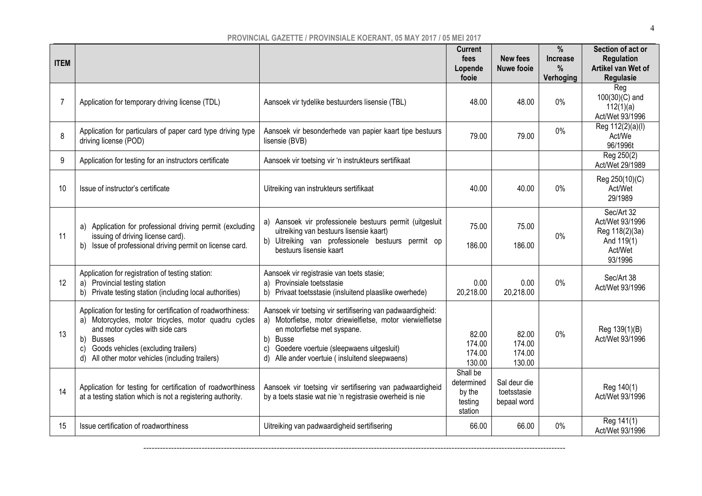| <b>ITEM</b> |                                                                                                                                                                                                                                                                          |                                                                                                                                                                                                                                                                                   | <b>Current</b><br>fees<br>Lopende<br>fooie             | <b>New fees</b><br><b>Nuwe fooie</b>       | %<br><b>Increase</b><br>$\%$<br>Verhoging | Section of act or<br><b>Regulation</b><br>Artikel van Wet of<br><b>Regulasie</b>    |
|-------------|--------------------------------------------------------------------------------------------------------------------------------------------------------------------------------------------------------------------------------------------------------------------------|-----------------------------------------------------------------------------------------------------------------------------------------------------------------------------------------------------------------------------------------------------------------------------------|--------------------------------------------------------|--------------------------------------------|-------------------------------------------|-------------------------------------------------------------------------------------|
| 7           | Application for temporary driving license (TDL)                                                                                                                                                                                                                          | Aansoek vir tydelike bestuurders lisensie (TBL)                                                                                                                                                                                                                                   | 48.00                                                  | 48.00                                      | $0\%$                                     | Reg<br>$100(30)(C)$ and<br>112(1)(a)<br>Act/Wet 93/1996                             |
| 8           | Application for particulars of paper card type driving type<br>driving license (POD)                                                                                                                                                                                     | Aansoek vir besonderhede van papier kaart tipe bestuurs<br>lisensie (BVB)                                                                                                                                                                                                         | 79.00                                                  | 79.00                                      | $0\%$                                     | Reg 112(2)(a)(l)<br>Act/We<br>96/1996t                                              |
| 9           | Application for testing for an instructors certificate                                                                                                                                                                                                                   | Aansoek vir toetsing vir 'n instrukteurs sertifikaat                                                                                                                                                                                                                              |                                                        |                                            |                                           | Reg 250(2)<br>Act/Wet 29/1989                                                       |
| 10          | Issue of instructor's certificate                                                                                                                                                                                                                                        | Uitreiking van instrukteurs sertifikaat                                                                                                                                                                                                                                           | 40.00                                                  | 40.00                                      | $0\%$                                     | Reg 250(10)(C)<br>Act/Wet<br>29/1989                                                |
| 11          | a) Application for professional driving permit (excluding<br>issuing of driving license card).<br>b) Issue of professional driving permit on license card.                                                                                                               | a) Aansoek vir professionele bestuurs permit (uitgesluit<br>uitreiking van bestuurs lisensie kaart)<br>b) Uitreiking van professionele bestuurs permit op<br>bestuurs lisensie kaart                                                                                              | 75.00<br>186.00                                        | 75.00<br>186.00                            | $0\%$                                     | Sec/Art 32<br>Act/Wet 93/1996<br>Reg 118(2)(3a)<br>And 119(1)<br>Act/Wet<br>93/1996 |
| 12          | Application for registration of testing station:<br>a) Provincial testing station<br>b) Private testing station (including local authorities)                                                                                                                            | Aansoek vir registrasie van toets stasie;<br>Provinsiale toetsstasie<br>a)<br>b) Privaat toetsstasie (insluitend plaaslike owerhede)                                                                                                                                              | 0.00<br>20,218.00                                      | 0.00<br>20,218.00                          | $0\%$                                     | Sec/Art 38<br>Act/Wet 93/1996                                                       |
| 13          | Application for testing for certification of roadworthiness:<br>a) Motorcycles, motor tricycles, motor quadru cycles<br>and motor cycles with side cars<br>b) Busses<br>Goods vehicles (excluding trailers)<br>c)<br>All other motor vehicles (including trailers)<br>d) | Aansoek vir toetsing vir sertifisering van padwaardigheid:<br>a) Motorfietse, motor driewielfietse, motor vierwielfietse<br>en motorfietse met syspane.<br>b)<br><b>Busse</b><br>Goedere voertuie (sleepwaens uitgesluit)<br>C)<br>d) Alle ander voertuie (insluitend sleepwaens) | 82.00<br>174.00<br>174.00<br>130.00                    | 82.00<br>174.00<br>174.00<br>130.00        | $0\%$                                     | Reg 139(1)(B)<br>Act/Wet 93/1996                                                    |
| 14          | Application for testing for certification of roadworthiness<br>at a testing station which is not a registering authority.                                                                                                                                                | Aansoek vir toetsing vir sertifisering van padwaardigheid<br>by a toets stasie wat nie 'n registrasie owerheid is nie                                                                                                                                                             | Shall be<br>determined<br>by the<br>testing<br>station | Sal deur die<br>toetsstasie<br>bepaal word |                                           | Reg 140(1)<br>Act/Wet 93/1996                                                       |
| 15          | Issue certification of roadworthiness                                                                                                                                                                                                                                    | Uitreiking van padwaardigheid sertifisering                                                                                                                                                                                                                                       | 66.00                                                  | 66.00                                      | $0\%$                                     | Reg 141(1)<br>Act/Wet 93/1996                                                       |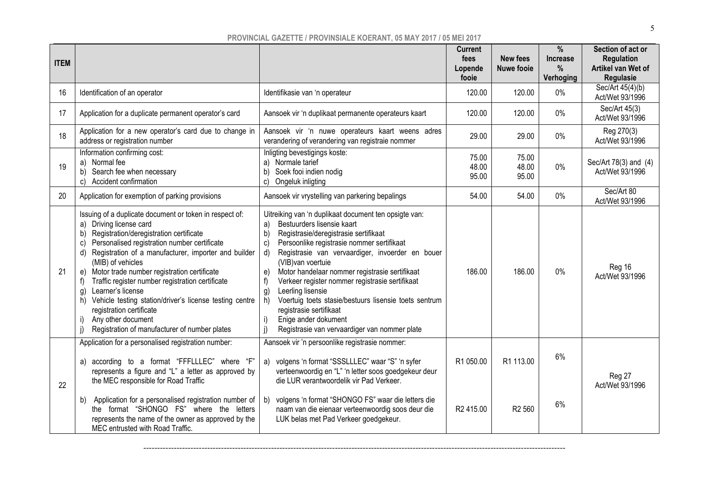| <b>ITEM</b> |                                                                                                                                                                                                                                                                                                                                                                                                                                                                                                                                                                                           |                                                                                                                                                                                                                                                                                                                                                                                                                                                                                                                                                                                                             | <b>Current</b><br>fees<br>Lopende<br>fooie | <b>New fees</b><br><b>Nuwe fooie</b> | %<br><b>Increase</b><br>%<br>Verhoging | Section of act or<br><b>Regulation</b><br>Artikel van Wet of<br>Regulasie |
|-------------|-------------------------------------------------------------------------------------------------------------------------------------------------------------------------------------------------------------------------------------------------------------------------------------------------------------------------------------------------------------------------------------------------------------------------------------------------------------------------------------------------------------------------------------------------------------------------------------------|-------------------------------------------------------------------------------------------------------------------------------------------------------------------------------------------------------------------------------------------------------------------------------------------------------------------------------------------------------------------------------------------------------------------------------------------------------------------------------------------------------------------------------------------------------------------------------------------------------------|--------------------------------------------|--------------------------------------|----------------------------------------|---------------------------------------------------------------------------|
| 16          | Identification of an operator                                                                                                                                                                                                                                                                                                                                                                                                                                                                                                                                                             | Identifikasie van 'n operateur                                                                                                                                                                                                                                                                                                                                                                                                                                                                                                                                                                              | 120.00                                     | 120.00                               | $0\%$                                  | Sec/Art 45(4)(b)<br>Act/Wet 93/1996                                       |
| 17          | Application for a duplicate permanent operator's card                                                                                                                                                                                                                                                                                                                                                                                                                                                                                                                                     | Aansoek vir 'n duplikaat permanente operateurs kaart                                                                                                                                                                                                                                                                                                                                                                                                                                                                                                                                                        | 120.00                                     | 120.00                               | $0\%$                                  | Sec/Art 45(3)<br>Act/Wet 93/1996                                          |
| 18          | Application for a new operator's card due to change in<br>address or registration number                                                                                                                                                                                                                                                                                                                                                                                                                                                                                                  | Aansoek vir 'n nuwe operateurs kaart weens adres<br>verandering of verandering van registraie nommer                                                                                                                                                                                                                                                                                                                                                                                                                                                                                                        | 29.00                                      | 29.00                                | $0\%$                                  | Reg 270(3)<br>Act/Wet 93/1996                                             |
| 19          | Information confirming cost:<br>a) Normal fee<br>b) Search fee when necessary<br>c) Accident confirmation                                                                                                                                                                                                                                                                                                                                                                                                                                                                                 | Inligting bevestigings koste:<br>a) Normale tarief<br>b) Soek fooi indien nodig<br>Ongeluk inligting<br>C)                                                                                                                                                                                                                                                                                                                                                                                                                                                                                                  | 75.00<br>48.00<br>95.00                    | 75.00<br>48.00<br>95.00              | $0\%$                                  | Sec/Art 78(3) and (4)<br>Act/Wet 93/1996                                  |
| 20          | Application for exemption of parking provisions                                                                                                                                                                                                                                                                                                                                                                                                                                                                                                                                           | Aansoek vir vrystelling van parkering bepalings                                                                                                                                                                                                                                                                                                                                                                                                                                                                                                                                                             | 54.00                                      | 54.00                                | $0\%$                                  | Sec/Art 80<br>Act/Wet 93/1996                                             |
| 21          | Issuing of a duplicate document or token in respect of:<br>a) Driving license card<br>b) Registration/deregistration certificate<br>Personalised registration number certificate<br>C)<br>d) Registration of a manufacturer, importer and builder<br>(MIB) of vehicles<br>e) Motor trade number registration certificate<br>Traffic register number registration certificate<br>f<br>Learner's license<br>g)<br>h) Vehicle testing station/driver's license testing centre<br>registration certificate<br>Any other document<br>I)<br>Registration of manufacturer of number plates<br>j) | Uitreiking van 'n duplikaat document ten opsigte van:<br>Bestuurders lisensie kaart<br>a)<br>b)<br>Registrasie/deregistrasie sertifikaat<br>Persoonlike registrasie nommer sertifikaat<br>$\mathbf{c}$<br>Registrasie van vervaardiger, invoerder en bouer<br>d)<br>(VIB) van voertuie<br>Motor handelaar nommer registrasie sertifikaat<br>e)<br>Verkeer register nommer registrasie sertifikaat<br>f)<br>Leerling lisensie<br>g)<br>Voertuig toets stasie/bestuurs lisensie toets sentrum<br>h)<br>registrasie sertifikaat<br>Enige ander dokument<br>i)<br>Registrasie van vervaardiger van nommer plate | 186.00                                     | 186.00                               | $0\%$                                  | Reg 16<br>Act/Wet 93/1996                                                 |
| 22          | Application for a personalised registration number:<br>a) according to a format "FFFLLLEC" where "F"<br>represents a figure and "L" a letter as approved by<br>the MEC responsible for Road Traffic<br>b) Application for a personalised registration number of<br>the format "SHONGO FS" where the letters<br>represents the name of the owner as approved by the<br>MEC entrusted with Road Traffic.                                                                                                                                                                                    | Aansoek vir 'n persoonlike registrasie nommer:<br>a) volgens 'n format "SSSLLLEC" waar "S" 'n syfer<br>verteenwoordig en "L" 'n letter soos goedgekeur deur<br>die LUR verantwoordelik vir Pad Verkeer.<br>volgens 'n format "SHONGO FS" waar die letters die<br>b)<br>naam van die eienaar verteenwoordig soos deur die<br>LUK belas met Pad Verkeer goedgekeur.                                                                                                                                                                                                                                           | R1 050.00<br>R <sub>2</sub> 415.00         | R1 113.00<br>R <sub>2</sub> 560      | 6%<br>6%                               | Reg 27<br>Act/Wet 93/1996                                                 |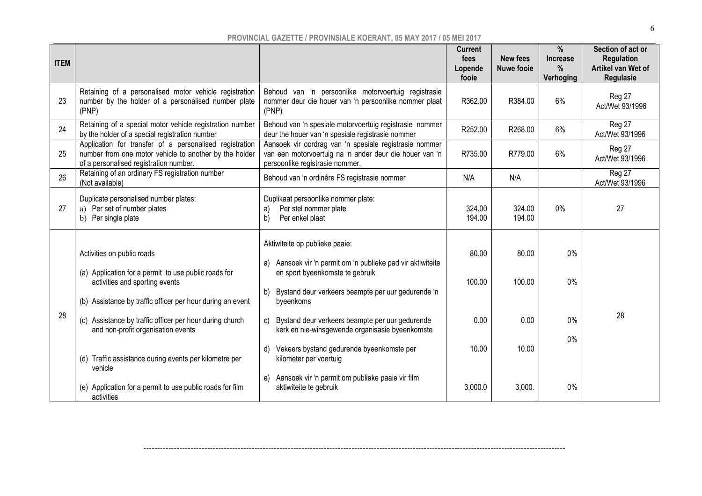| <b>ITEM</b> |                                                                                                                                                             |                                                                                                                                                      | <b>Current</b><br>fees<br>Lopende<br>fooie | <b>New fees</b><br><b>Nuwe fooie</b> | $\frac{0}{0}$<br><b>Increase</b><br>$\%$<br>Verhoging | Section of act or<br><b>Regulation</b><br>Artikel van Wet of<br>Regulasie |
|-------------|-------------------------------------------------------------------------------------------------------------------------------------------------------------|------------------------------------------------------------------------------------------------------------------------------------------------------|--------------------------------------------|--------------------------------------|-------------------------------------------------------|---------------------------------------------------------------------------|
| 23          | Retaining of a personalised motor vehicle registration<br>number by the holder of a personalised number plate<br>(PNP)                                      | Behoud van 'n persoonlike motorvoertuig registrasie<br>nommer deur die houer van 'n persoonlike nommer plaat<br>(PNP)                                | R362.00                                    | R384.00                              | 6%                                                    | Reg 27<br>Act/Wet 93/1996                                                 |
| 24          | Retaining of a special motor vehicle registration number<br>by the holder of a special registration number                                                  | Behoud van 'n spesiale motorvoertuig registrasie nommer<br>deur the houer van 'n spesiale registrasie nommer                                         | R252.00                                    | R268.00                              | 6%                                                    | Reg 27<br>Act/Wet 93/1996                                                 |
| 25          | Application for transfer of a personalised registration<br>number from one motor vehicle to another by the holder<br>of a personalised registration number. | Aansoek vir oordrag van 'n spesiale registrasie nommer<br>van een motorvoertuig na 'n ander deur die houer van 'n<br>persoonlike registrasie nommer. | R735.00                                    | R779.00                              | 6%                                                    | Reg 27<br>Act/Wet 93/1996                                                 |
| 26          | Retaining of an ordinary FS registration number<br>(Not available)                                                                                          | Behoud van 'n ordinêre FS registrasie nommer                                                                                                         | N/A                                        | N/A                                  |                                                       | Reg 27<br>Act/Wet 93/1996                                                 |
| 27          | Duplicate personalised number plates:<br>a) Per set of number plates<br>b) Per single plate                                                                 | Duplikaat persoonlike nommer plate:<br>Per stel nommer plate<br>a)<br>b)<br>Per enkel plaat                                                          | 324.00<br>194.00                           | 324.00<br>194.00                     | $0\%$                                                 | 27                                                                        |
|             | Activities on public roads<br>(a) Application for a permit to use public roads for                                                                          | Aktiwiteite op publieke paaie:<br>Aansoek vir 'n permit om 'n publieke pad vir aktiwiteite<br>a)<br>en sport byeenkomste te gebruik                  | 80.00                                      | 80.00                                | 0%                                                    |                                                                           |
|             | activities and sporting events<br>(b) Assistance by traffic officer per hour during an event                                                                | Bystand deur verkeers beampte per uur gedurende 'n<br>b)<br>byeenkoms                                                                                | 100.00                                     | 100.00                               | 0%                                                    |                                                                           |
| 28          | (c) Assistance by traffic officer per hour during church<br>and non-profit organisation events                                                              | Bystand deur verkeers beampte per uur gedurende<br>C)<br>kerk en nie-winsgewende organisasie byeenkomste                                             | 0.00                                       | 0.00                                 | 0%                                                    | 28                                                                        |
|             | (d) Traffic assistance during events per kilometre per<br>vehicle                                                                                           | Vekeers bystand gedurende byeenkomste per<br>d)<br>kilometer per voertuig                                                                            | 10.00                                      | 10.00                                | 0%                                                    |                                                                           |
|             | (e) Application for a permit to use public roads for film<br>activities                                                                                     | Aansoek vir 'n permit om publieke paaie vir film<br>e)<br>aktiwiteite te gebruik                                                                     | 3,000.0                                    | 3,000.                               | 0%                                                    |                                                                           |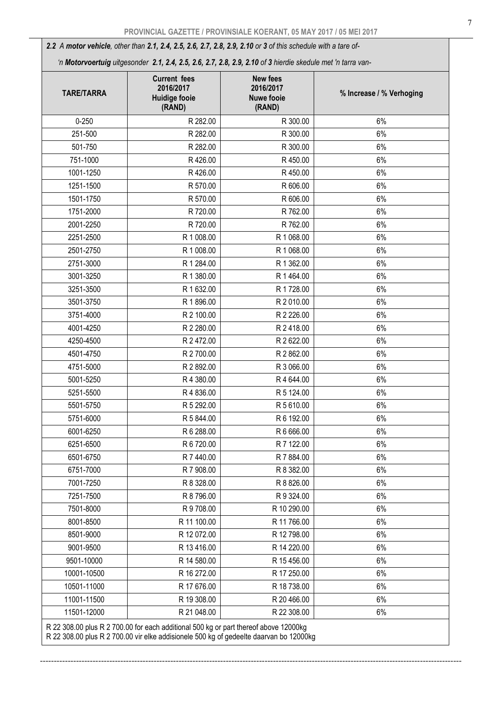*2.2 A motor vehicle, other than 2.1, 2.4, 2.5, 2.6, 2.7, 2.8, 2.9, 2.10 or 3 of this schedule with a tare of-* 

 *'n Motorvoertuig uitgesonder 2.1, 2.4, 2.5, 2.6, 2.7, 2.8, 2.9, 2.10 of 3 hierdie skedule met 'n tarra van-*

| <b>TARE/TARRA</b> | <b>Current fees</b><br>2016/2017<br><b>Huidige fooie</b><br>(RAND)                                                                                                             | <b>New fees</b><br>2016/2017<br><b>Nuwe fooie</b><br>(RAND) | % Increase / % Verhoging |
|-------------------|--------------------------------------------------------------------------------------------------------------------------------------------------------------------------------|-------------------------------------------------------------|--------------------------|
| $0 - 250$         | R 282.00                                                                                                                                                                       | R 300.00                                                    | 6%                       |
| 251-500           | R 282.00                                                                                                                                                                       | R 300.00                                                    | 6%                       |
| 501-750           | R 282.00                                                                                                                                                                       | R 300.00                                                    | 6%                       |
| 751-1000          | R426.00                                                                                                                                                                        | R 450.00                                                    | 6%                       |
| 1001-1250         | R426.00                                                                                                                                                                        | R 450.00                                                    | 6%                       |
| 1251-1500         | R 570.00                                                                                                                                                                       | R 606.00                                                    | 6%                       |
| 1501-1750         | R 570.00                                                                                                                                                                       | R 606.00                                                    | 6%                       |
| 1751-2000         | R 720.00                                                                                                                                                                       | R 762.00                                                    | 6%                       |
| 2001-2250         | R 720.00                                                                                                                                                                       | R 762.00                                                    | 6%                       |
| 2251-2500         | R 1 008.00                                                                                                                                                                     | R 1 068.00                                                  | 6%                       |
| 2501-2750         | R 1 008.00                                                                                                                                                                     | R 1 068.00                                                  | 6%                       |
| 2751-3000         | R 1 284.00                                                                                                                                                                     | R 1 362.00                                                  | 6%                       |
| 3001-3250         | R 1 380.00                                                                                                                                                                     | R 1 464.00                                                  | 6%                       |
| 3251-3500         | R 1 632.00                                                                                                                                                                     | R 1728.00                                                   | 6%                       |
| 3501-3750         | R 1896.00                                                                                                                                                                      | R 2 010.00                                                  | 6%                       |
| 3751-4000         | R 2 100.00                                                                                                                                                                     | R 2 226.00                                                  | 6%                       |
| 4001-4250         | R 2 280.00                                                                                                                                                                     | R 2 418.00                                                  | 6%                       |
| 4250-4500         | R 2 472.00                                                                                                                                                                     | R 2 622.00                                                  | 6%                       |
| 4501-4750         | R 2 700.00                                                                                                                                                                     | R 2 862.00                                                  | 6%                       |
| 4751-5000         | R 2 892.00                                                                                                                                                                     | R 3 066.00                                                  | 6%                       |
| 5001-5250         | R 4 380.00                                                                                                                                                                     | R 4 644.00                                                  | 6%                       |
| 5251-5500         | R 4 836.00                                                                                                                                                                     | R 5 124.00                                                  | 6%                       |
| 5501-5750         | R 5 292.00                                                                                                                                                                     | R 5 610.00                                                  | 6%                       |
| 5751-6000         | R 5 844.00                                                                                                                                                                     | R 6 192.00                                                  | 6%                       |
| 6001-6250         | R 6 288.00                                                                                                                                                                     | R 6 666.00                                                  | 6%                       |
| 6251-6500         | R 6 720.00                                                                                                                                                                     | R 7 122.00                                                  | $6\%$                    |
| 6501-6750         | R 7 440.00                                                                                                                                                                     | R 7 884.00                                                  | 6%                       |
| 6751-7000         | R 7 908.00                                                                                                                                                                     | R 8 382.00                                                  | 6%                       |
| 7001-7250         | R 8 328.00                                                                                                                                                                     | R 8 826.00                                                  | 6%                       |
| 7251-7500         | R 8 796.00                                                                                                                                                                     | R 9 324.00                                                  | 6%                       |
| 7501-8000         | R 9 708.00                                                                                                                                                                     | R 10 290.00                                                 | 6%                       |
| 8001-8500         | R 11 100.00                                                                                                                                                                    | R 11 766.00                                                 | 6%                       |
| 8501-9000         | R 12 072.00                                                                                                                                                                    | R 12 798.00                                                 | 6%                       |
| 9001-9500         | R 13 416.00                                                                                                                                                                    | R 14 220.00                                                 | 6%                       |
| 9501-10000        | R 14 580.00                                                                                                                                                                    | R 15 456.00                                                 | 6%                       |
| 10001-10500       | R 16 272.00                                                                                                                                                                    | R 17 250.00                                                 | 6%                       |
| 10501-11000       | R 17 676.00                                                                                                                                                                    | R 18 738.00                                                 | 6%                       |
| 11001-11500       | R 19 308.00                                                                                                                                                                    | R 20 466.00                                                 | 6%                       |
| 11501-12000       | R 21 048.00                                                                                                                                                                    | R 22 308.00                                                 | 6%                       |
|                   | R 22 308.00 plus R 2 700.00 for each additional 500 kg or part thereof above 12000kg<br>R 22 308.00 plus R 2 700.00 vir elke addisionele 500 kg of gedeelte daarvan bo 12000kg |                                                             |                          |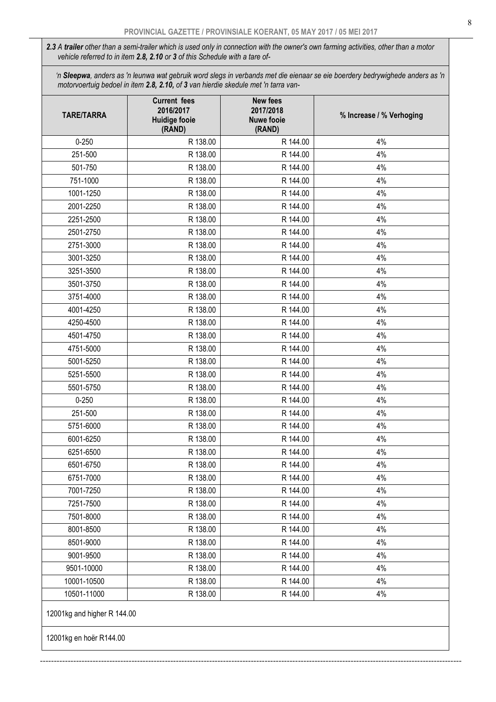*2.3 A trailer other than a semi-trailer which is used only in connection with the owner's own farming activities, other than a motor vehicle referred to in item 2.8, 2.10 or 3 of this Schedule with a tare of-* 

 *'n Sleepwa, anders as 'n leunwa wat gebruik word slegs in verbands met die eienaar se eie boerdery bedrywighede anders as 'n motorvoertuig bedoel in item 2.8, 2.10, of 3 van hierdie skedule met 'n tarra van-*

| <b>TARE/TARRA</b>           | <b>Current fees</b><br>2016/2017<br><b>Huidige fooie</b><br>(RAND) | <b>New fees</b><br>2017/2018<br><b>Nuwe fooie</b><br>(RAND) | % Increase / % Verhoging |
|-----------------------------|--------------------------------------------------------------------|-------------------------------------------------------------|--------------------------|
| $0 - 250$                   | R 138.00                                                           | R 144.00                                                    | 4%                       |
| 251-500                     | R 138.00                                                           | R 144.00                                                    | 4%                       |
| 501-750                     | R 138.00                                                           | R 144.00                                                    | 4%                       |
| 751-1000                    | R 138.00                                                           | R 144.00                                                    | 4%                       |
| 1001-1250                   | R 138.00                                                           | R 144.00                                                    | 4%                       |
| 2001-2250                   | R 138.00                                                           | R 144.00                                                    | 4%                       |
| 2251-2500                   | R 138.00                                                           | R 144.00                                                    | 4%                       |
| 2501-2750                   | R 138.00                                                           | R 144.00                                                    | 4%                       |
| 2751-3000                   | R 138.00                                                           | R 144.00                                                    | 4%                       |
| 3001-3250                   | R 138.00                                                           | R 144.00                                                    | 4%                       |
| 3251-3500                   | R 138.00                                                           | R 144.00                                                    | 4%                       |
| 3501-3750                   | R 138.00                                                           | R 144.00                                                    | 4%                       |
| 3751-4000                   | R 138.00                                                           | R 144.00                                                    | 4%                       |
| 4001-4250                   | R 138.00                                                           | R 144.00                                                    | 4%                       |
| 4250-4500                   | R 138.00                                                           | R 144.00                                                    | 4%                       |
| 4501-4750                   | R 138.00                                                           | R 144.00                                                    | 4%                       |
| 4751-5000                   | R 138.00                                                           | R 144.00                                                    | 4%                       |
| 5001-5250                   | R 138.00                                                           | R 144.00                                                    | 4%                       |
| 5251-5500                   | R 138.00                                                           | R 144.00                                                    | 4%                       |
| 5501-5750                   | R 138.00                                                           | R 144.00                                                    | 4%                       |
| $0 - 250$                   | R 138.00                                                           | R 144.00                                                    | 4%                       |
| 251-500                     | R 138.00                                                           | R 144.00                                                    | 4%                       |
| 5751-6000                   | R 138.00                                                           | R 144.00                                                    | 4%                       |
| 6001-6250                   | R 138.00                                                           | R 144.00                                                    | 4%                       |
| 6251-6500                   | R 138.00                                                           | R 144.00                                                    | 4%                       |
| 6501-6750                   | R 138.00                                                           | R 144.00                                                    | 4%                       |
| 6751-7000                   | R 138.00                                                           | R 144.00                                                    | 4%                       |
| 7001-7250                   | R 138.00                                                           | R 144.00                                                    | 4%                       |
| 7251-7500                   | R 138.00                                                           | R 144.00                                                    | 4%                       |
| 7501-8000                   | R 138.00                                                           | R 144.00                                                    | 4%                       |
| 8001-8500                   | R 138.00                                                           | R 144.00                                                    | 4%                       |
| 8501-9000                   | R 138.00                                                           | R 144.00                                                    | 4%                       |
| 9001-9500                   | R 138.00                                                           | R 144.00                                                    | 4%                       |
| 9501-10000                  | R 138.00                                                           | R 144.00                                                    | 4%                       |
| 10001-10500                 | R 138.00                                                           | R 144.00                                                    | 4%                       |
| 10501-11000                 | R 138.00                                                           | R 144.00                                                    | 4%                       |
| 12001kg and higher R 144.00 |                                                                    |                                                             |                          |
| 12001kg en hoër R144.00     |                                                                    |                                                             |                          |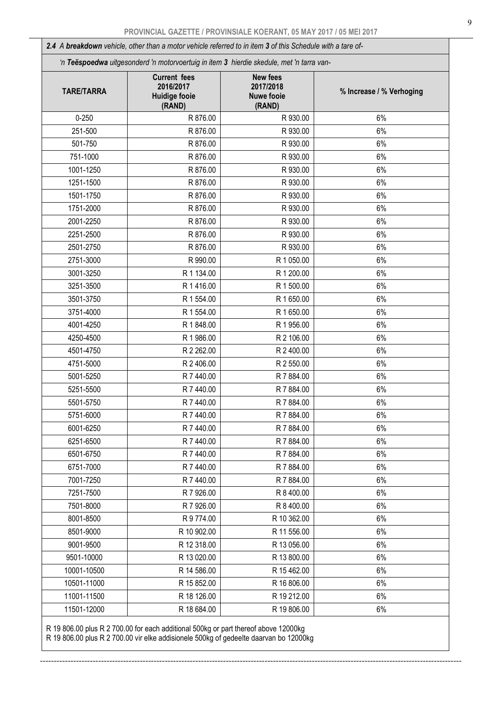*2.4 A breakdown vehicle, other than a motor vehicle referred to in item 3 of this Schedule with a tare of-* 

 *'n Teëspoedwa uitgesonderd 'n motorvoertuig in item 3 hierdie skedule, met 'n tarra van-*

| <b>TARE/TARRA</b> | <b>Current fees</b><br>2016/2017<br><b>Huidige fooie</b><br>(RAND) | <b>New fees</b><br>2017/2018<br><b>Nuwe fooie</b><br>(RAND) | % Increase / % Verhoging |
|-------------------|--------------------------------------------------------------------|-------------------------------------------------------------|--------------------------|
| $0 - 250$         | R 876.00                                                           | R 930.00                                                    | 6%                       |
| 251-500           | R 876.00                                                           | R 930.00                                                    | 6%                       |
| 501-750           | R 876.00                                                           | R 930.00                                                    | 6%                       |
| 751-1000          | R 876.00                                                           | R 930.00                                                    | 6%                       |
| 1001-1250         | R 876.00                                                           | R 930.00                                                    | 6%                       |
| 1251-1500         | R 876.00                                                           | R 930.00                                                    | 6%                       |
| 1501-1750         | R 876.00                                                           | R 930.00                                                    | 6%                       |
| 1751-2000         | R 876.00                                                           | R 930.00                                                    | 6%                       |
| 2001-2250         | R 876.00                                                           | R 930.00                                                    | 6%                       |
| 2251-2500         | R 876.00                                                           | R 930.00                                                    | 6%                       |
| 2501-2750         | R 876.00                                                           | R 930.00                                                    | 6%                       |
| 2751-3000         | R 990.00                                                           | R 1 050.00                                                  | 6%                       |
| 3001-3250         | R 1 134.00                                                         | R 1 200.00                                                  | 6%                       |
| 3251-3500         | R 1 416.00                                                         | R 1 500.00                                                  | 6%                       |
| 3501-3750         | R 1 554.00                                                         | R 1 650.00                                                  | 6%                       |
| 3751-4000         | R 1 554.00                                                         | R 1 650.00                                                  | 6%                       |
| 4001-4250         | R 1848.00                                                          | R 1 956.00                                                  | 6%                       |
| 4250-4500         | R 1 986.00                                                         | R 2 106.00                                                  | 6%                       |
| 4501-4750         | R 2 262.00                                                         | R 2 400.00                                                  | 6%                       |
| 4751-5000         | R 2 406.00                                                         | R 2 550.00                                                  | 6%                       |
| 5001-5250         | R 7 440.00                                                         | R 7 884.00                                                  | 6%                       |
| 5251-5500         | R 7 440.00                                                         | R 7 884.00                                                  | 6%                       |
| 5501-5750         | R 7 440.00                                                         | R 7 884.00                                                  | 6%                       |
| 5751-6000         | R 7 440.00                                                         | R 7 884.00                                                  | 6%                       |
| 6001-6250         | R 7 440.00                                                         | R 7 884.00                                                  | 6%                       |
| 6251-6500         | R 7 440.00                                                         | R 7 884.00                                                  | 6%                       |
| 6501-6750         | R 7 440.00                                                         | R 7 884.00                                                  | 6%                       |
| 6751-7000         | R 7 440.00                                                         | R 7 884.00                                                  | 6%                       |
| 7001-7250         | R 7 440.00                                                         | R 7 884.00                                                  | 6%                       |
| 7251-7500         | R 7 926.00                                                         | R 8 400.00                                                  | 6%                       |
| 7501-8000         | R 7 926.00                                                         | R 8 400.00                                                  | 6%                       |
| 8001-8500         | R 9 774.00                                                         | R 10 362.00                                                 | 6%                       |
| 8501-9000         | R 10 902.00                                                        | R 11 556.00                                                 | 6%                       |
| 9001-9500         | R 12 318.00                                                        | R 13 056.00                                                 | 6%                       |
| 9501-10000        | R 13 020.00                                                        | R 13 800.00                                                 | 6%                       |
| 10001-10500       | R 14 586.00                                                        | R 15 462.00                                                 | 6%                       |
| 10501-11000       | R 15 852.00                                                        | R 16 806.00                                                 | 6%                       |
| 11001-11500       | R 18 126.00                                                        | R 19 212.00                                                 | 6%                       |
| 11501-12000       | R 18 684.00                                                        | R 19 806.00                                                 | 6%                       |

--------------------------------------------------------------------------------------------------------------------------------------------------------

R 19 806.00 plus R 2 700.00 for each additional 500kg or part thereof above 12000kg

R 19 806.00 plus R 2 700.00 vir elke addisionele 500kg of gedeelte daarvan bo 12000kg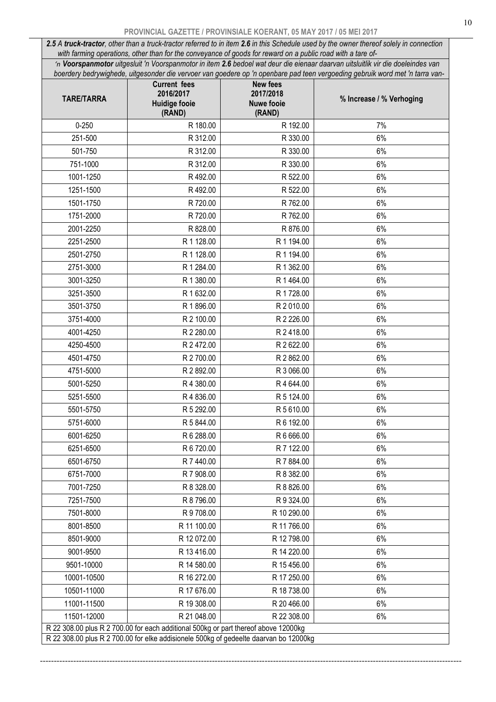### PROVINCIAL GAZETTE / PROVINSIALE KOERANT, 05 MAY 2017 / 05 MEI 2017

*2.5 A truck-tractor, other than a truck-tractor referred to in item 2.6 in this Schedule used by the owner thereof solely in connection with farming operations, other than for the conveyance of goods for reward on a public road with a tare of-* 

 *'n Voorspanmotor uitgesluit 'n Voorspanmotor in item 2.6 bedoel wat deur die eienaar daarvan uitsluitlik vir die doeleindes van boerdery bedrywighede, uitgesonder die vervoer van goedere op 'n openbare pad teen vergoeding gebruik word met 'n tarra van-*

| <b>TARE/TARRA</b> | <b>Current fees</b><br>2016/2017<br><b>Huidige fooie</b><br>(RAND)                                                                                                           | <b>New fees</b><br>2017/2018<br><b>Nuwe fooie</b><br>(RAND) | % Increase / % Verhoging |
|-------------------|------------------------------------------------------------------------------------------------------------------------------------------------------------------------------|-------------------------------------------------------------|--------------------------|
| $0 - 250$         | R 180.00                                                                                                                                                                     | R 192.00                                                    | 7%                       |
| 251-500           | R 312.00                                                                                                                                                                     | R 330.00                                                    | 6%                       |
| 501-750           | R 312.00                                                                                                                                                                     | R 330.00                                                    | 6%                       |
| 751-1000          | R 312.00                                                                                                                                                                     | R 330.00                                                    | 6%                       |
| 1001-1250         | R492.00                                                                                                                                                                      | R 522.00                                                    | 6%                       |
| 1251-1500         | R492.00                                                                                                                                                                      | R 522.00                                                    | 6%                       |
| 1501-1750         | R 720.00                                                                                                                                                                     | R 762.00                                                    | 6%                       |
| 1751-2000         | R 720.00                                                                                                                                                                     | R 762.00                                                    | 6%                       |
| 2001-2250         | R 828.00                                                                                                                                                                     | R 876.00                                                    | 6%                       |
| 2251-2500         | R 1 128.00                                                                                                                                                                   | R 1 194.00                                                  | 6%                       |
| 2501-2750         | R 1 128.00                                                                                                                                                                   | R 1 194.00                                                  | 6%                       |
| 2751-3000         | R 1 284.00                                                                                                                                                                   | R 1 362.00                                                  | 6%                       |
| 3001-3250         | R 1 380.00                                                                                                                                                                   | R 1 464.00                                                  | 6%                       |
| 3251-3500         | R 1 632.00                                                                                                                                                                   | R 1728.00                                                   | 6%                       |
| 3501-3750         | R 1896.00                                                                                                                                                                    | R 2 010.00                                                  | 6%                       |
| 3751-4000         | R 2 100.00                                                                                                                                                                   | R 2 226.00                                                  | 6%                       |
| 4001-4250         | R 2 280.00                                                                                                                                                                   | R 2 418.00                                                  | 6%                       |
| 4250-4500         | R 2 472.00                                                                                                                                                                   | R 2 622.00                                                  | 6%                       |
| 4501-4750         | R 2 700.00                                                                                                                                                                   | R 2 862.00                                                  | 6%                       |
| 4751-5000         | R 2 892.00                                                                                                                                                                   | R 3 066.00                                                  | 6%                       |
| 5001-5250         | R4 380.00                                                                                                                                                                    | R 4 644.00                                                  | 6%                       |
| 5251-5500         | R 4 836.00                                                                                                                                                                   | R 5 124.00                                                  | 6%                       |
| 5501-5750         | R 5 292.00                                                                                                                                                                   | R 5 610.00                                                  | 6%                       |
| 5751-6000         | R 5 844.00                                                                                                                                                                   | R 6 192.00                                                  | 6%                       |
| 6001-6250         | R 6 288.00                                                                                                                                                                   | R 6 666.00                                                  | 6%                       |
| 6251-6500         | R 6 720.00                                                                                                                                                                   | R 7 122.00                                                  | 6%                       |
| 6501-6750         | R 7 440.00                                                                                                                                                                   | R 7 884.00                                                  | 6%                       |
| 6751-7000         | R 7 908.00                                                                                                                                                                   | R 8 382.00                                                  | 6%                       |
| 7001-7250         | R 8 328.00                                                                                                                                                                   | R 8 826.00                                                  | 6%                       |
| 7251-7500         | R 8 796.00                                                                                                                                                                   | R 9 324.00                                                  | 6%                       |
| 7501-8000         | R 9 708.00                                                                                                                                                                   | R 10 290.00                                                 | 6%                       |
| 8001-8500         | R 11 100.00                                                                                                                                                                  | R 11 766.00                                                 | 6%                       |
| 8501-9000         | R 12 072.00                                                                                                                                                                  | R 12 798.00                                                 | 6%                       |
| 9001-9500         | R 13 416.00                                                                                                                                                                  | R 14 220.00                                                 | 6%                       |
| 9501-10000        | R 14 580.00                                                                                                                                                                  | R 15 456.00                                                 | 6%                       |
| 10001-10500       | R 16 272.00                                                                                                                                                                  | R 17 250.00                                                 | 6%                       |
| 10501-11000       | R 17 676.00                                                                                                                                                                  | R 18 738.00                                                 | 6%                       |
| 11001-11500       | R 19 308.00                                                                                                                                                                  | R 20 466.00                                                 | 6%                       |
| 11501-12000       | R 21 048.00                                                                                                                                                                  | R 22 308.00                                                 | 6%                       |
|                   | R 22 308.00 plus R 2 700.00 for each additional 500kg or part thereof above 12000kg<br>R 22 308.00 plus R 2 700.00 for elke addisionele 500kg of gedeelte daarvan bo 12000kg |                                                             |                          |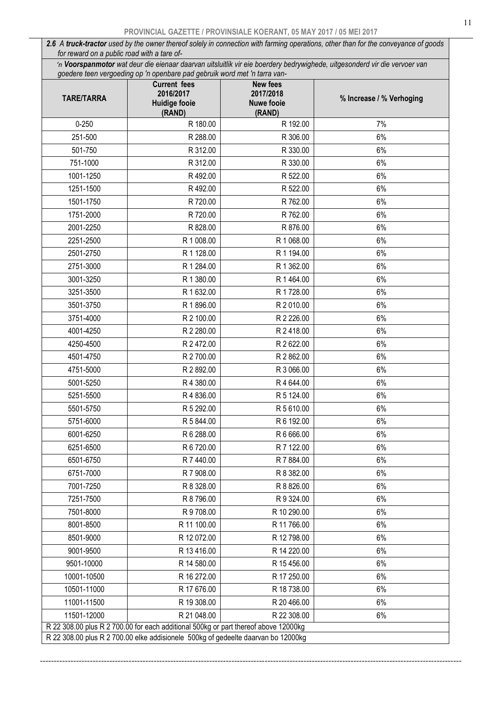*2.6 A truck-tractor used by the owner thereof solely in connection with farming operations, other than for the conveyance of goods for reward on a public road with a tare of-* 

 *'n Voorspanmotor wat deur die eienaar daarvan uitsluitlik vir eie boerdery bedrywighede, uitgesonderd vir die vervoer van goedere teen vergoeding op 'n openbare pad gebruik word met 'n tarra van-*

| <b>TARE/TARRA</b> | gocaere teen vergocality op 'n openbare paa gebruik word met 'n tand van<br><b>Current fees</b><br>2016/2017<br><b>Huidige fooie</b><br>(RAND)                           | New fees<br>2017/2018<br><b>Nuwe fooie</b><br>(RAND) | % Increase / % Verhoging |
|-------------------|--------------------------------------------------------------------------------------------------------------------------------------------------------------------------|------------------------------------------------------|--------------------------|
| $0 - 250$         | R 180.00                                                                                                                                                                 | R 192.00                                             | 7%                       |
| 251-500           | R 288.00                                                                                                                                                                 | R 306.00                                             | 6%                       |
| 501-750           | R 312.00                                                                                                                                                                 | R 330.00                                             | 6%                       |
| 751-1000          | R 312.00                                                                                                                                                                 | R 330.00                                             | 6%                       |
| 1001-1250         | R492.00                                                                                                                                                                  | R 522.00                                             | 6%                       |
| 1251-1500         | R492.00                                                                                                                                                                  | R 522.00                                             | 6%                       |
| 1501-1750         | R 720.00                                                                                                                                                                 | R 762.00                                             | 6%                       |
| 1751-2000         | R 720.00                                                                                                                                                                 | R 762.00                                             | 6%                       |
| 2001-2250         | R 828.00                                                                                                                                                                 | R 876.00                                             | 6%                       |
| 2251-2500         | R 1 008.00                                                                                                                                                               | R 1 068.00                                           | 6%                       |
| 2501-2750         | R 1 128.00                                                                                                                                                               | R 1 194.00                                           | 6%                       |
| 2751-3000         | R 1 284.00                                                                                                                                                               | R 1 362.00                                           | 6%                       |
| 3001-3250         | R 1 380.00                                                                                                                                                               | R 1 464.00                                           | 6%                       |
| 3251-3500         | R 1 632.00                                                                                                                                                               | R 1728.00                                            | 6%                       |
| 3501-3750         | R 1896.00                                                                                                                                                                | R 2 010.00                                           | 6%                       |
| 3751-4000         | R 2 100.00                                                                                                                                                               | R 2 226.00                                           | 6%                       |
| 4001-4250         | R 2 280.00                                                                                                                                                               | R 2 418.00                                           | 6%                       |
| 4250-4500         | R 2 472.00                                                                                                                                                               | R 2 622.00                                           | 6%                       |
| 4501-4750         | R 2 700.00                                                                                                                                                               | R 2 862.00                                           | 6%                       |
| 4751-5000         | R 2 892.00                                                                                                                                                               | R 3 066.00                                           | 6%                       |
| 5001-5250         | R 4 380.00                                                                                                                                                               | R 4 644.00                                           | 6%                       |
| 5251-5500         | R 4 836.00                                                                                                                                                               | R 5 124.00                                           | 6%                       |
| 5501-5750         | R 5 292.00                                                                                                                                                               | R 5 610.00                                           | 6%                       |
| 5751-6000         | R 5 844.00                                                                                                                                                               | R 6 192.00                                           | 6%                       |
| 6001-6250         | R 6 288.00                                                                                                                                                               | R 6 666.00                                           | 6%                       |
| 6251-6500         | R 6 720.00                                                                                                                                                               | R 7 122.00                                           | 6%                       |
| 6501-6750         | R 7 440.00                                                                                                                                                               | R 7 884.00                                           | 6%                       |
| 6751-7000         | R 7 908.00                                                                                                                                                               | R 8 382.00                                           | 6%                       |
| 7001-7250         | R 8 328.00                                                                                                                                                               | R 8 826.00                                           | 6%                       |
| 7251-7500         | R 8 796.00                                                                                                                                                               | R 9 324.00                                           | 6%                       |
| 7501-8000         | R 9 708.00                                                                                                                                                               | R 10 290.00                                          | 6%                       |
| 8001-8500         | R 11 100.00                                                                                                                                                              | R 11 766.00                                          | 6%                       |
| 8501-9000         | R 12 072.00                                                                                                                                                              | R 12 798.00                                          | 6%                       |
| 9001-9500         | R 13 416.00                                                                                                                                                              | R 14 220.00                                          | 6%                       |
| 9501-10000        | R 14 580.00                                                                                                                                                              | R 15 456.00                                          | 6%                       |
| 10001-10500       | R 16 272.00                                                                                                                                                              | R 17 250.00                                          | 6%                       |
| 10501-11000       | R 17 676.00                                                                                                                                                              | R 18 738.00                                          | 6%                       |
| 11001-11500       | R 19 308.00                                                                                                                                                              | R 20 466.00                                          | 6%                       |
| 11501-12000       | R 21 048.00                                                                                                                                                              | R 22 308.00                                          | 6%                       |
|                   | R 22 308.00 plus R 2 700.00 for each additional 500kg or part thereof above 12000kg<br>R 22 308.00 plus R 2 700.00 elke addisionele 500kg of gedeelte daarvan bo 12000kg |                                                      |                          |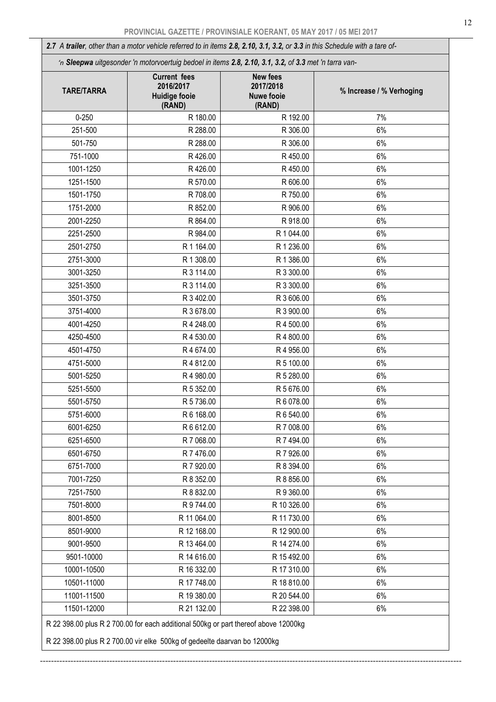*2.7 A trailer, other than a motor vehicle referred to in items 2.8, 2.10, 3.1, 3.2, or 3.3 in this Schedule with a tare of-* 

|  |  | n Sleepwa uitgesonder 'n motorvoertuig bedoel in items 2.8, 2.10, 3.1, 3.2, of 3.3 met 'n tarra van- |
|--|--|------------------------------------------------------------------------------------------------------|
|--|--|------------------------------------------------------------------------------------------------------|

| <b>TARE/TARRA</b> | <b>Current fees</b><br>2016/2017<br><b>Huidige fooie</b><br>(RAND) | <b>New fees</b><br>2017/2018<br><b>Nuwe fooie</b><br>(RAND) | % Increase / % Verhoging |
|-------------------|--------------------------------------------------------------------|-------------------------------------------------------------|--------------------------|
| $0 - 250$         | R 180.00                                                           | R 192.00                                                    | 7%                       |
| 251-500           | R 288.00                                                           | R 306.00                                                    | 6%                       |
| 501-750           | R 288.00                                                           | R 306.00                                                    | 6%                       |
| 751-1000          | R426.00                                                            | R 450.00                                                    | 6%                       |
| 1001-1250         | R426.00                                                            | R 450.00                                                    | 6%                       |
| 1251-1500         | R 570.00                                                           | R 606.00                                                    | 6%                       |
| 1501-1750         | R 708.00                                                           | R 750.00                                                    | 6%                       |
| 1751-2000         | R 852.00                                                           | R 906.00                                                    | 6%                       |
| 2001-2250         | R 864.00                                                           | R 918.00                                                    | 6%                       |
| 2251-2500         | R 984.00                                                           | R 1 044.00                                                  | 6%                       |
| 2501-2750         | R 1 164.00                                                         | R 1 236.00                                                  | 6%                       |
| 2751-3000         | R 1 308.00                                                         | R 1 386.00                                                  | 6%                       |
| 3001-3250         | R 3 114.00                                                         | R 3 300.00                                                  | 6%                       |
| 3251-3500         | R 3 114.00                                                         | R 3 300.00                                                  | 6%                       |
| 3501-3750         | R 3 402.00                                                         | R 3 606.00                                                  | 6%                       |
| 3751-4000         | R 3 678.00                                                         | R 3 900.00                                                  | 6%                       |
| 4001-4250         | R 4 248.00                                                         | R 4 500.00                                                  | 6%                       |
| 4250-4500         | R 4 530.00                                                         | R 4 800.00                                                  | 6%                       |
| 4501-4750         | R 4 674.00                                                         | R 4 956.00                                                  | 6%                       |
| 4751-5000         | R 4 812.00                                                         | R 5 100.00                                                  | 6%                       |
| 5001-5250         | R 4 980.00                                                         | R 5 280.00                                                  | 6%                       |
| 5251-5500         | R 5 352.00                                                         | R 5 676.00                                                  | 6%                       |
| 5501-5750         | R 5 736.00                                                         | R 6 078.00                                                  | 6%                       |
| 5751-6000         | R 6 168.00                                                         | R 6 540.00                                                  | 6%                       |
| 6001-6250         | R 6 612.00                                                         | R 7 008.00                                                  | 6%                       |
| 6251-6500         | R 7 068.00                                                         | R 7 494.00                                                  | 6%                       |
| 6501-6750         | R 7 476.00                                                         | R 7 926.00                                                  | 6%                       |
| 6751-7000         | R 7 920.00                                                         | R 8 394.00                                                  | 6%                       |
| 7001-7250         | R 8 352.00                                                         | R 8 856.00                                                  | 6%                       |
| 7251-7500         | R 8 832.00                                                         | R 9 360.00                                                  | 6%                       |
| 7501-8000         | R 9 744.00                                                         | R 10 326.00                                                 | 6%                       |
| 8001-8500         | R 11 064.00                                                        | R 11 730.00                                                 | 6%                       |
| 8501-9000         | R 12 168.00                                                        | R 12 900.00                                                 | 6%                       |
| 9001-9500         | R 13 464.00                                                        | R 14 274.00                                                 | 6%                       |
| 9501-10000        | R 14 616.00                                                        | R 15 492.00                                                 | 6%                       |
| 10001-10500       | R 16 332.00                                                        | R 17 310.00                                                 | 6%                       |
| 10501-11000       | R 17 748.00                                                        | R 18 810.00                                                 | 6%                       |
| 11001-11500       | R 19 380.00                                                        | R 20 544.00                                                 | 6%                       |
| 11501-12000       | R 21 132.00                                                        | R 22 398.00                                                 | 6%                       |

--------------------------------------------------------------------------------------------------------------------------------------------------------

R 22 398.00 plus R 2 700.00 vir elke 500kg of gedeelte daarvan bo 12000kg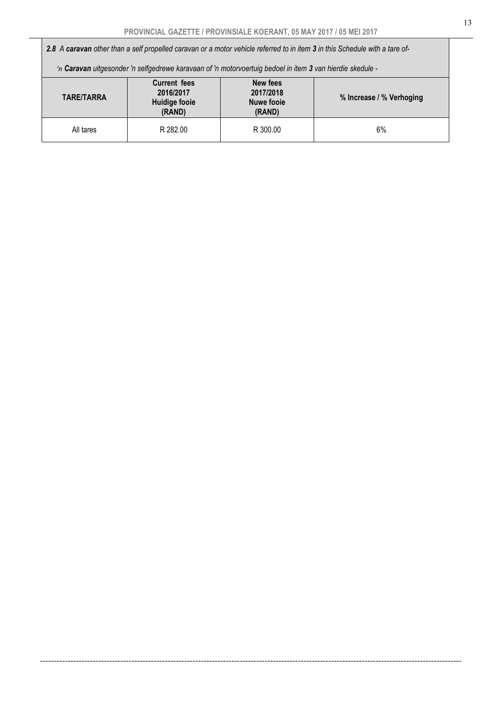*2.8 A caravan other than a self propelled caravan or a motor vehicle referred to in item 3 in this Schedule with a tare of-* 

 *'n Caravan uitgesonder 'n selfgedrewe karavaan of 'n motorvoertuig bedoel in item 3 van hierdie skedule -* 

| <b>TARE/TARRA</b> | <b>Current fees</b><br>2016/2017<br>Huidige fooie<br>(RAND) | New fees<br>2017/2018<br><b>Nuwe fooie</b><br>(RAND) | % Increase / % Verhoging |
|-------------------|-------------------------------------------------------------|------------------------------------------------------|--------------------------|
| All tares         | R 282.00                                                    | R 300.00                                             | 6%                       |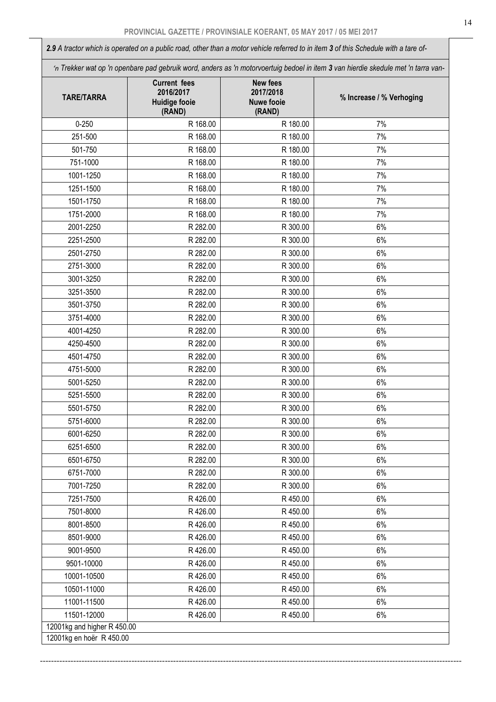*2.9 A tractor which is operated on a public road, other than a motor vehicle referred to in item 3 of this Schedule with a tare of-* 

 *'n Trekker wat op 'n openbare pad gebruik word, anders as 'n motorvoertuig bedoel in item 3 van hierdie skedule met 'n tarra van-*

| <b>TARE/TARRA</b>           | <b>Current fees</b><br>2016/2017<br><b>Huidige fooie</b><br>(RAND) | <b>New fees</b><br>2017/2018<br><b>Nuwe fooie</b><br>(RAND) | % Increase / % Verhoging |
|-----------------------------|--------------------------------------------------------------------|-------------------------------------------------------------|--------------------------|
| $0 - 250$                   | R 168.00                                                           | R 180.00                                                    | 7%                       |
| 251-500                     | R 168.00                                                           | R 180.00                                                    | 7%                       |
| 501-750                     | R 168.00                                                           | R 180.00                                                    | 7%                       |
| 751-1000                    | R 168.00                                                           | R 180.00                                                    | 7%                       |
| 1001-1250                   | R 168.00                                                           | R 180.00                                                    | 7%                       |
| 1251-1500                   | R 168.00                                                           | R 180.00                                                    | 7%                       |
| 1501-1750                   | R 168.00                                                           | R 180.00                                                    | 7%                       |
| 1751-2000                   | R 168.00                                                           | R 180.00                                                    | 7%                       |
| 2001-2250                   | R 282.00                                                           | R 300.00                                                    | 6%                       |
| 2251-2500                   | R 282.00                                                           | R 300.00                                                    | 6%                       |
| 2501-2750                   | R 282.00                                                           | R 300.00                                                    | 6%                       |
| 2751-3000                   | R 282.00                                                           | R 300.00                                                    | 6%                       |
| 3001-3250                   | R 282.00                                                           | R 300.00                                                    | 6%                       |
| 3251-3500                   | R 282.00                                                           | R 300.00                                                    | 6%                       |
| 3501-3750                   | R 282.00                                                           | R 300.00                                                    | 6%                       |
| 3751-4000                   | R 282.00                                                           | R 300.00                                                    | 6%                       |
| 4001-4250                   | R 282.00                                                           | R 300.00                                                    | 6%                       |
| 4250-4500                   | R 282.00                                                           | R 300.00                                                    | 6%                       |
| 4501-4750                   | R 282.00                                                           | R 300.00                                                    | 6%                       |
| 4751-5000                   | R 282.00                                                           | R 300.00                                                    | 6%                       |
| 5001-5250                   | R 282.00                                                           | R 300.00                                                    | 6%                       |
| 5251-5500                   | R 282.00                                                           | R 300.00                                                    | 6%                       |
| 5501-5750                   | R 282.00                                                           | R 300.00                                                    | 6%                       |
| 5751-6000                   | R 282.00                                                           | R 300.00                                                    | $6\%$                    |
| 6001-6250                   | R 282.00                                                           | R 300.00                                                    | 6%                       |
| 6251-6500                   | R 282.00                                                           | R 300.00                                                    | 6%                       |
| 6501-6750                   | R 282.00                                                           | R 300.00                                                    | 6%                       |
| 6751-7000                   | R 282.00                                                           | R 300.00                                                    | 6%                       |
| 7001-7250                   | R 282.00                                                           | R 300.00                                                    | 6%                       |
| 7251-7500                   | R426.00                                                            | R 450.00                                                    | 6%                       |
| 7501-8000                   | R426.00                                                            | R450.00                                                     | 6%                       |
| 8001-8500                   | R426.00                                                            | R 450.00                                                    | 6%                       |
| 8501-9000                   | R426.00                                                            | R450.00                                                     | 6%                       |
| 9001-9500                   | R426.00                                                            | R 450.00                                                    | 6%                       |
| 9501-10000                  | R426.00                                                            | R 450.00                                                    | 6%                       |
| 10001-10500                 | R426.00                                                            | R450.00                                                     | $6\%$                    |
| 10501-11000                 | R426.00                                                            | R 450.00                                                    | 6%                       |
| 11001-11500                 | R426.00                                                            | R 450.00                                                    | 6%                       |
| 11501-12000                 | R426.00                                                            | R 450.00                                                    | 6%                       |
| 12001kg and higher R 450.00 |                                                                    |                                                             |                          |
| 12001kg en hoër R 450.00    |                                                                    |                                                             |                          |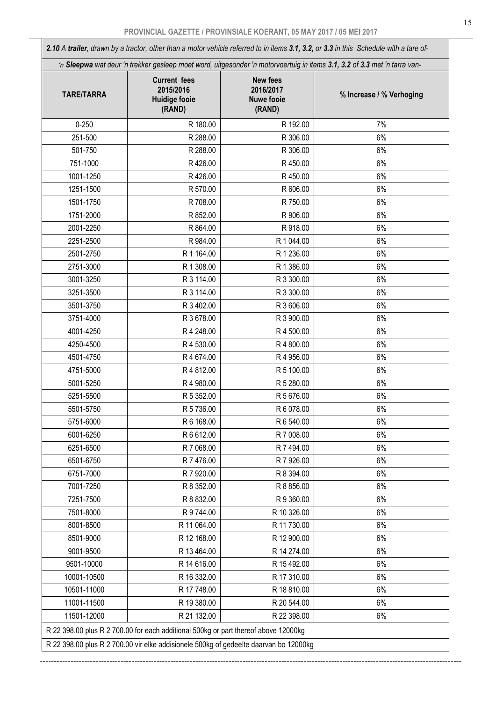*2.10 A trailer, drawn by a tractor, other than a motor vehicle referred to in items 3.1, 3.2, or 3.3 in this Schedule with a tare of- 'n Sleepwa wat deur 'n trekker gesleep moet word, uitgesonder 'n motorvoertuig in items 3.1, 3.2 of 3.3 met 'n tarra van-*TARE/TARRA Current fees 2015/2016 Huidige fooie (RAND) New fees 2016/2017 Nuwe fooie (RAND) % Increase / % Verhoging 0-250 R 180.00 R 192.00 7% 251-500 R 288.00 R 306.00 6% 501-750 R 288.00 R 306.00 6% 751-1000 R 426.00 R 450.00 6% 1001-1250 R 426.00 R 426.00 R 450.00 R 450.00 R 450.00 R 450.00 R 1251-1500 | R 570.00 | R 5606.00 | 6% 1501-1750 | R 708.00 | R 708.00 | R 750.00 | 6% 1751-2000 | R 852.00 | R 852.00 | R 906.00 | 6% 2001-2250 | R 864.00 | R 918.00 | 6% 2251-2500 | R 984.00 | R 1 044.00 | 6% 2501-2750 R 1 164.00 R 1 236.00 R 1 236.00 R 1 236.00 R 1 236.00 R 2751-3000 | R 1 308.00 | R 1 386.00 | 6% 3001-3250 R 3 114.00 R 3 300.00 6% 3251-3500 R 3 114.00 R 3 300.00 6% 3501-3750 | R 3 402.00 | R 3 606.00 | 6% 3751-4000 R 3 678.00 R 3 900.00 6% 4001-4250 R 4 248.00 R 4 500.00 6% 4250-4500 R 4 530.00 R 4 800.00 6% 4501-4750 R 4 674.00 R 4 956.00 6% 4751-5000 R 4 812.00 R 5 100.00 6% 5001-5250 R 4 980.00 R 5 280.00 6% 5251-5500 R 5 352.00 R 5 676.00 6% 5501-5750 R 5 736.00 R 6 078.00 6% 5751-6000 R 6 168.00 R 6 540.00 6% 6001-6250 R 6 612.00 R 7 008.00 6% 6251-6500 R 7 068.00 R 7 494.00 6% 6501-6750 | R 7 476.00 | R 7 926.00 | 6% 6751-7000 R 7 920.00 R 8 394.00 6% 7001-7250 R 8 352.00 R 8 856.00 6% 7251-7500 R 8 832.00 R 9 360.00 6% 7501-8000 R 9 744.00 R 10 326.00 6% 8001-8500 R 11 064.00 R 11 730.00 6% 8501-9000 R 12 168.00 R 12 900.00 R 12 900.00 R 12 900.00 R 12 900.00 R 12 900.00 R 9001-9500 R 13 464.00 R 14 274.00 R 14 274.00 9501-10000 | R 14 616.00 | R 15 492.00 | 6% 10001-10500 R 16 332.00 R 17 310.00 R 17 310.00 10501-11000 | R 17 748.00 | R 18 810.00 | 6% 11001-11500 **R 19 380.00 R 20 544.00** R 19 380.00 R 20 544.00 **R** 11501-12000 **R 21 132.00 R 22 398.00** R 27 130.00 R 22 398.00 **6%** R 22 398.00 plus R 2 700.00 for each additional 500kg or part thereof above 12000kg R 22 398.00 plus R 2 700.00 vir elke addisionele 500kg of gedeelte daarvan bo 12000kg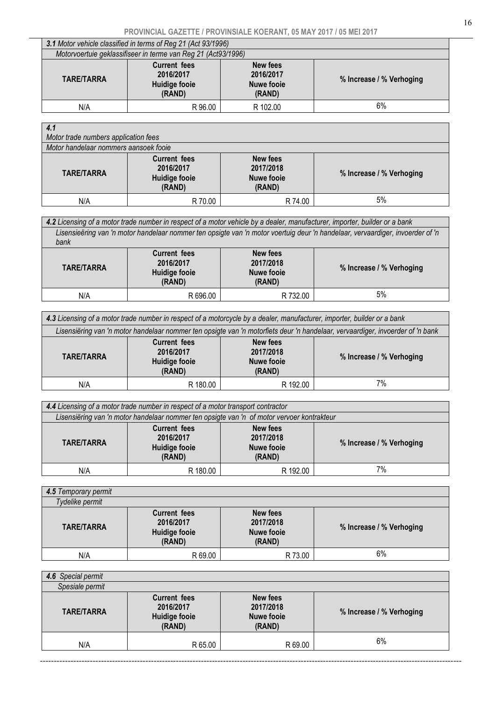| 3.1 Motor vehicle classified in terms of Reg 21 (Act 93/1996)                                                                                                               |         |          |    |  |  |
|-----------------------------------------------------------------------------------------------------------------------------------------------------------------------------|---------|----------|----|--|--|
| Motorvoertuie geklassifiseer in terme van Reg 21 (Act93/1996)                                                                                                               |         |          |    |  |  |
| <b>Current fees</b><br>New fees<br>2016/2017<br>2016/2017<br><b>TARE/TARRA</b><br>% Increase / % Verhoging<br><b>Huidige fooie</b><br><b>Nuwe fooie</b><br>(RAND)<br>(RAND) |         |          |    |  |  |
| N/A                                                                                                                                                                         | R 96.00 | R 102.00 | 6% |  |  |

| 4.1<br>Motor trade numbers application fees<br>Motor handelaar nommers aansoek fooie |                                                             |                                                             |                          |  |
|--------------------------------------------------------------------------------------|-------------------------------------------------------------|-------------------------------------------------------------|--------------------------|--|
| <b>TARE/TARRA</b>                                                                    | <b>Current fees</b><br>2016/2017<br>Huidige fooie<br>(RAND) | <b>New fees</b><br>2017/2018<br><b>Nuwe fooie</b><br>(RAND) | % Increase / % Verhoging |  |
| N/A                                                                                  | R 70.00                                                     | R 74.00                                                     | 5%                       |  |

| 4.2 Licensing of a motor trade number in respect of a motor vehicle by a dealer, manufacturer, importer, builder or a bank |                                                                                                                                |                                                      |                          |  |  |
|----------------------------------------------------------------------------------------------------------------------------|--------------------------------------------------------------------------------------------------------------------------------|------------------------------------------------------|--------------------------|--|--|
|                                                                                                                            | Lisensieëring van 'n motor handelaar nommer ten opsigte van 'n motor voertuig deur 'n handelaar, vervaardiger, invoerder of 'n |                                                      |                          |  |  |
| bank                                                                                                                       |                                                                                                                                |                                                      |                          |  |  |
| <b>TARE/TARRA</b>                                                                                                          | <b>Current fees</b><br>2016/2017<br>Huidige fooie<br>(RAND)                                                                    | New fees<br>2017/2018<br><b>Nuwe fooie</b><br>(RAND) | % Increase / % Verhoging |  |  |
| N/A                                                                                                                        | R 696.00                                                                                                                       | R 732.00                                             | 5%                       |  |  |
|                                                                                                                            |                                                                                                                                |                                                      |                          |  |  |

| 4.3 Licensing of a motor trade number in respect of a motorcycle by a dealer, manufacturer, importer, builder or a bank                                              |          |          |    |  |
|----------------------------------------------------------------------------------------------------------------------------------------------------------------------|----------|----------|----|--|
| Lisensiëring van 'n motor handelaar nommer ten opsigte van 'n motorfiets deur 'n handelaar, vervaardiger, invoerder of 'n bank                                       |          |          |    |  |
| <b>Current fees</b><br>New fees<br>2016/2017<br>2017/2018<br><b>TARE/TARRA</b><br>% Increase / % Verhoging<br>Huidige fooie<br><b>Nuwe fooie</b><br>(RAND)<br>(RAND) |          |          |    |  |
| N/A                                                                                                                                                                  | R 180.00 | R 192.00 | 7% |  |

| 4.4 Licensing of a motor trade number in respect of a motor transport contractor                                                                                     |          |          |    |  |  |
|----------------------------------------------------------------------------------------------------------------------------------------------------------------------|----------|----------|----|--|--|
| Lisensiëring van 'n motor handelaar nommer ten opsigte van 'n of motor vervoer kontrakteur                                                                           |          |          |    |  |  |
| <b>Current fees</b><br>New fees<br>2017/2018<br>2016/2017<br><b>TARE/TARRA</b><br>% Increase / % Verhoging<br>Huidige fooie<br><b>Nuwe fooie</b><br>(RAND)<br>(RAND) |          |          |    |  |  |
| N/A                                                                                                                                                                  | R 180.00 | R 192.00 | 7% |  |  |

| 4.5 Temporary permit |                                                                    |                                                             |                          |
|----------------------|--------------------------------------------------------------------|-------------------------------------------------------------|--------------------------|
| Tydelike permit      |                                                                    |                                                             |                          |
| <b>TARE/TARRA</b>    | <b>Current fees</b><br>2016/2017<br><b>Huidige fooie</b><br>(RAND) | <b>New fees</b><br>2017/2018<br><b>Nuwe fooie</b><br>(RAND) | % Increase / % Verhoging |
| N/A                  | R 69.00                                                            | R 73.00                                                     | 6%                       |

| 4.6 Special permit |                                                                    |                                                             |                          |
|--------------------|--------------------------------------------------------------------|-------------------------------------------------------------|--------------------------|
| Spesiale permit    |                                                                    |                                                             |                          |
| <b>TARE/TARRA</b>  | <b>Current fees</b><br>2016/2017<br><b>Huidige fooie</b><br>(RAND) | <b>New fees</b><br>2017/2018<br><b>Nuwe fooie</b><br>(RAND) | % Increase / % Verhoging |
| N/A                | R 65.00                                                            | R 69.00                                                     | 6%                       |